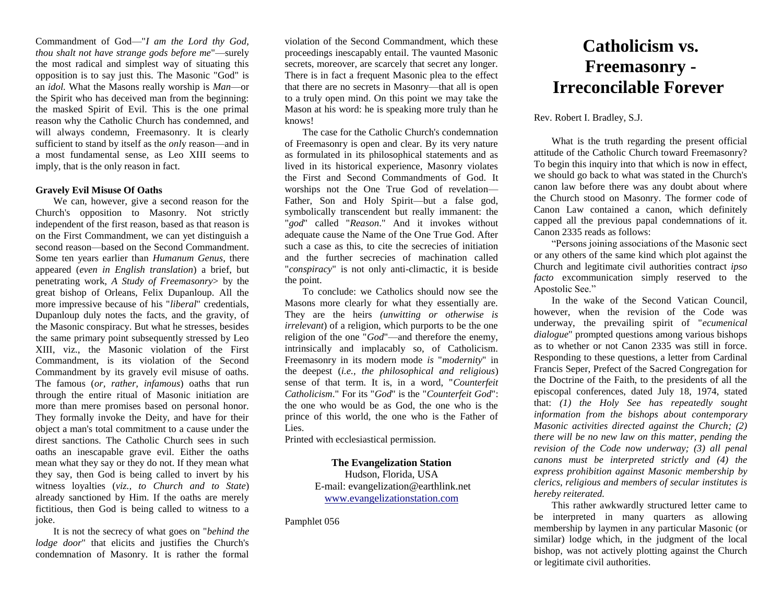Commandment of God—"*I am the Lord thy God, thou shalt not have strange gods before me*"—surely the most radical and simplest way of situating this opposition is to say just this. The Masonic "God" is an *idol.* What the Masons really worship is *Man*—or the Spirit who has deceived man from the beginning: the masked Spirit of Evil. This is the one primal reason why the Catholic Church has condemned, and will always condemn, Freemasonry. It is clearly sufficient to stand by itself as the *onl*y reason—and in a most fundamental sense, as Leo XIII seems to imply, that is the only reason in fact.

## **Gravely Evil Misuse Of Oaths**

We can, however, give a second reason for the Church's opposition to Masonry. Not strictly independent of the first reason, based as that reason is on the First Commandment, we can yet distinguish a second reason—based on the Second Commandment. Some ten years earlier than *Humanum Genus*, there appeared (*even in English translation*) a brief, but penetrating work, *A Study of Freemasonry*> by the great bishop of Orleans, Felix Dupanloup. All the more impressive because of his "*liberal*" credentials, Dupanloup duly notes the facts, and the gravity, of the Masonic conspiracy. But what he stresses, besides the same primary point subsequently stressed by Leo XIII, viz., the Masonic violation of the First Commandment, is its violation of the Second Commandment by its gravely evil misuse of oaths. The famous (*or, rather, infamous*) oaths that run through the entire ritual of Masonic initiation are more than mere promises based on personal honor. They formally invoke the Deity, and have for their object a man's total commitment to a cause under the direst sanctions. The Catholic Church sees in such oaths an inescapable grave evil. Either the oaths mean what they say or they do not. If they mean what they say, then God is being called to invert by his witness loyalties (*viz., to Church and to State*) already sanctioned by Him. If the oaths are merely fictitious, then God is being called to witness to a joke.

It is not the secrecy of what goes on "*behind the lodge door*" that elicits and justifies the Church's condemnation of Masonry. It is rather the formal

violation of the Second Commandment, which these proceedings inescapably entail. The vaunted Masonic secrets, moreover, are scarcely that secret any longer. There is in fact a frequent Masonic plea to the effect that there are no secrets in Masonry—that all is open to a truly open mind. On this point we may take the Mason at his word: he is speaking more truly than he knows!

The case for the Catholic Church's condemnation of Freemasonry is open and clear. By its very nature as formulated in its philosophical statements and as lived in its historical experience, Masonry violates the First and Second Commandments of God. It worships not the One True God of revelation— Father, Son and Holy Spirit—but a false god, symbolically transcendent but really immanent: the "*god*" called "*Reason*." And it invokes without adequate cause the Name of the One True God. After such a case as this, to cite the secrecies of initiation and the further secrecies of machination called "*conspiracy*" is not only anti-climactic, it is beside the point.

To conclude: we Catholics should now see the Masons more clearly for what they essentially are. They are the heirs *(unwitting or otherwise is irrelevant*) of a religion, which purports to be the one religion of the one "*God*"—and therefore the enemy, intrinsically and implacably so, of Catholicism. Freemasonry in its modern mode *is* "*modernity*" in the deepest (*i.e., the philosophical and religious*) sense of that term. It is, in a word, "*Counterfeit Catholicism*." For its "*God*" is the "*Counterfeit God*": the one who would be as God, the one who is the prince of this world, the one who is the Father of Lies.

Printed with ecclesiastical permission.

## **The Evangelization Station**

Hudson, Florida, USA E-mail: evangelization@earthlink.net [www.evangelizationstation.com](http://www.pjpiisoe.org/)

Pamphlet 056

## **Catholicism vs. Freemasonry - Irreconcilable Forever**

Rev. Robert I. Bradley, S.J.

What is the truth regarding the present official attitude of the Catholic Church toward Freemasonry? To begin this inquiry into that which is now in effect, we should go back to what was stated in the Church's canon law before there was any doubt about where the Church stood on Masonry. The former code of Canon Law contained a canon, which definitely capped all the previous papal condemnations of it. Canon 2335 reads as follows:

"Persons joining associations of the Masonic sect or any others of the same kind which plot against the Church and legitimate civil authorities contract *ipso facto* excommunication simply reserved to the Apostolic See."

In the wake of the Second Vatican Council, however, when the revision of the Code was underway, the prevailing spirit of "*ecumenical dialogue*" prompted questions among various bishops as to whether or not Canon 2335 was still in force. Responding to these questions, a letter from Cardinal Francis Seper, Prefect of the Sacred Congregation for the Doctrine of the Faith, to the presidents of all the episcopal conferences, dated July 18, 1974, stated that: *(1) the Holy See has repeatedly sought information from the bishops about contemporary Masonic activities directed against the Church; (2) there will be no new law on this matter, pending the revision of the Code now underway; (3) all penal canons must be interpreted strictly and (4) the express prohibition against Masonic membership by clerics, religious and members of secular institutes is hereby reiterated.*

This rather awkwardly structured letter came to be interpreted in many quarters as allowing membership by laymen in any particular Masonic (or similar) lodge which, in the judgment of the local bishop, was not actively plotting against the Church or legitimate civil authorities.